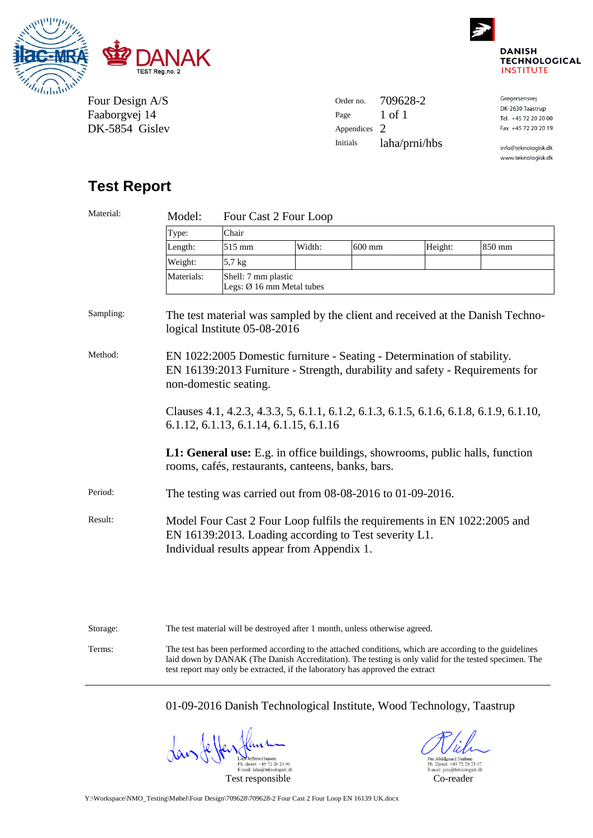



Four Design A/S Faaborgvej 14 DK-5854 Gislev

| Order no.       | 709628-2      | Gregersensvej  |
|-----------------|---------------|----------------|
|                 |               | DK-2630 Taastr |
| Page            | 1 of 1        | Tel. +45 72 20 |
| Appendices 2    |               | Fax +45 72 20  |
| <b>Initials</b> | laha/prni/hbs | info@teknolog  |

### **Taastrup** 2 20 20 00 2 20 20 19

iologisk.dk www.teknologisk.dk

# **Test Report**

| Material: | Model:                                                                                                                                                                           | Four Cast 2 Four Loop                            |                                                                                                                                  |        |         |        |
|-----------|----------------------------------------------------------------------------------------------------------------------------------------------------------------------------------|--------------------------------------------------|----------------------------------------------------------------------------------------------------------------------------------|--------|---------|--------|
|           | Type:                                                                                                                                                                            | Chair                                            |                                                                                                                                  |        |         |        |
|           | Length:                                                                                                                                                                          | 515 mm                                           | Width:                                                                                                                           | 600 mm | Height: | 850 mm |
|           | Weight:                                                                                                                                                                          | 5,7 kg                                           |                                                                                                                                  |        |         |        |
|           | Materials:                                                                                                                                                                       | Shell: 7 mm plastic<br>Legs: Ø 16 mm Metal tubes |                                                                                                                                  |        |         |        |
| Sampling: | The test material was sampled by the client and received at the Danish Techno-<br>logical Institute 05-08-2016                                                                   |                                                  |                                                                                                                                  |        |         |        |
| Method:   | EN 1022:2005 Domestic furniture - Seating - Determination of stability.<br>EN 16139:2013 Furniture - Strength, durability and safety - Requirements for<br>non-domestic seating. |                                                  |                                                                                                                                  |        |         |        |
|           |                                                                                                                                                                                  |                                                  | Clauses 4.1, 4.2.3, 4.3.3, 5, 6.1.1, 6.1.2, 6.1.3, 6.1.5, 6.1.6, 6.1.8, 6.1.9, 6.1.10,<br>6.1.12, 6.1.13, 6.1.14, 6.1.15, 6.1.16 |        |         |        |
|           | <b>L1: General use:</b> E.g. in office buildings, showrooms, public halls, function<br>rooms, cafés, restaurants, canteens, banks, bars.                                         |                                                  |                                                                                                                                  |        |         |        |
| Period:   | The testing was carried out from $08-08-2016$ to $01-09-2016$ .                                                                                                                  |                                                  |                                                                                                                                  |        |         |        |
| Result:   | Model Four Cast 2 Four Loop fulfils the requirements in EN 1022:2005 and<br>EN 16139:2013. Loading according to Test severity L1.<br>Individual results appear from Appendix 1.  |                                                  |                                                                                                                                  |        |         |        |

| Storage: | The test material will be destroved after 1 month, unless otherwise agreed.                                                                                                                                                                                                                       |
|----------|---------------------------------------------------------------------------------------------------------------------------------------------------------------------------------------------------------------------------------------------------------------------------------------------------|
| Terms:   | The test has been performed according to the attached conditions, which are according to the guidelines<br>laid down by DANAK (The Danish Accreditation). The testing is only valid for the tested specimen. The<br>test report may only be extracted, if the laboratory has approved the extract |

01-09-2016 Danish Technological Institute, Wood Technology, Taastrup

Lars Jeffers-Hansen<br>Ph. direct: +45 72 20 23 90<br>E-mail: laha@teknologisk.dk

11.  $\begin{array}{l} \mbox{Per Abildgaard Nielsen} \\ \mbox{Ph. Direct: +45 72 20 23 07} \\ \mbox{E-mail: } \underline{\mbox{pm\"ate}} \underline{\mbox{the} \underline{\mbox{mod} \underline{\mbox{bs}}} \underline{\mbox{sk}}. \underline{\mbox{d} \underline{\mbox{d}}}} \end{array}$ Test responsible Co-reader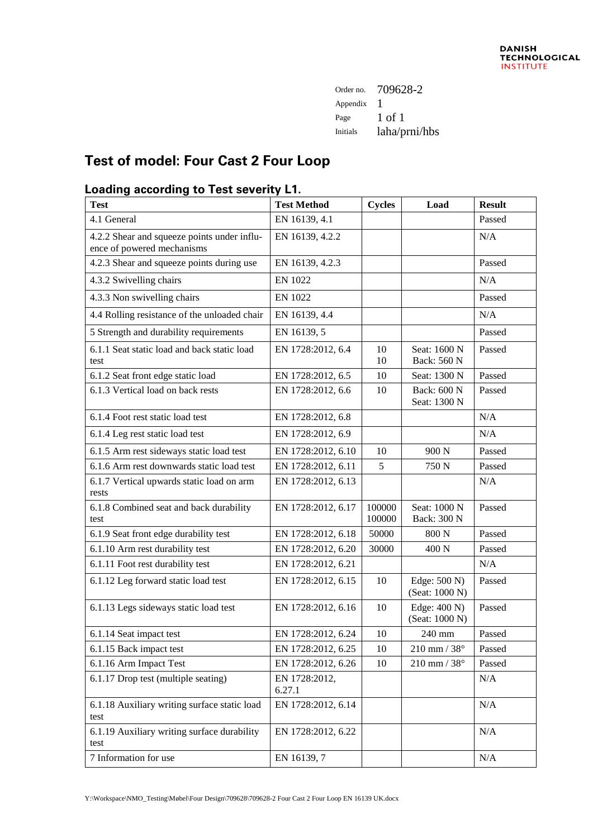| Order no. | 709628-2      |
|-----------|---------------|
| Appendix  |               |
| Page      | 1 of 1        |
| Initials  | laha/prni/hbs |
|           |               |

# **Test of model: Four Cast 2 Four Loop**

## **Loading according to Test severity L1.**

| <b>Test</b>                                                               | <b>Test Method</b>      | <b>Cycles</b>    | Load                           | <b>Result</b> |
|---------------------------------------------------------------------------|-------------------------|------------------|--------------------------------|---------------|
| 4.1 General                                                               | EN 16139, 4.1           |                  |                                | Passed        |
| 4.2.2 Shear and squeeze points under influ-<br>ence of powered mechanisms | EN 16139, 4.2.2         |                  |                                | N/A           |
| 4.2.3 Shear and squeeze points during use                                 | EN 16139, 4.2.3         |                  |                                | Passed        |
| 4.3.2 Swivelling chairs                                                   | <b>EN 1022</b>          |                  |                                | N/A           |
| 4.3.3 Non swivelling chairs                                               | <b>EN 1022</b>          |                  |                                | Passed        |
| 4.4 Rolling resistance of the unloaded chair                              | EN 16139, 4.4           |                  |                                | N/A           |
| 5 Strength and durability requirements                                    | EN 16139, 5             |                  |                                | Passed        |
| 6.1.1 Seat static load and back static load<br>test                       | EN 1728:2012, 6.4       | 10<br>10         | Seat: 1600 N<br>Back: 560 N    | Passed        |
| 6.1.2 Seat front edge static load                                         | EN 1728:2012, 6.5       | 10               | Seat: 1300 N                   | Passed        |
| 6.1.3 Vertical load on back rests                                         | EN 1728:2012, 6.6       | 10               | Back: 600 N<br>Seat: 1300 N    | Passed        |
| 6.1.4 Foot rest static load test                                          | EN 1728:2012, 6.8       |                  |                                | N/A           |
| 6.1.4 Leg rest static load test                                           | EN 1728:2012, 6.9       |                  |                                | N/A           |
| 6.1.5 Arm rest sideways static load test                                  | EN 1728:2012, 6.10      | 10               | 900 <sub>N</sub>               | Passed        |
| 6.1.6 Arm rest downwards static load test                                 | EN 1728:2012, 6.11      | 5                | 750 N                          | Passed        |
| 6.1.7 Vertical upwards static load on arm<br>rests                        | EN 1728:2012, 6.13      |                  |                                | N/A           |
| 6.1.8 Combined seat and back durability<br>test                           | EN 1728:2012, 6.17      | 100000<br>100000 | Seat: 1000 N<br>Back: 300 N    | Passed        |
| 6.1.9 Seat front edge durability test                                     | EN 1728:2012, 6.18      | 50000            | 800 N                          | Passed        |
| 6.1.10 Arm rest durability test                                           | EN 1728:2012, 6.20      | 30000            | 400 N                          | Passed        |
| 6.1.11 Foot rest durability test                                          | EN 1728:2012, 6.21      |                  |                                | N/A           |
| 6.1.12 Leg forward static load test                                       | EN 1728:2012, 6.15      | 10               | Edge: 500 N)<br>(Seat: 1000 N) | Passed        |
| 6.1.13 Legs sideways static load test                                     | EN 1728:2012, 6.16      | 10               | Edge: 400 N)<br>(Seat: 1000 N) | Passed        |
| 6.1.14 Seat impact test                                                   | EN 1728:2012, 6.24      | 10               | 240 mm                         | Passed        |
| 6.1.15 Back impact test                                                   | EN 1728:2012, 6.25      | 10               | $210$ mm / $38^\circ$          | Passed        |
| 6.1.16 Arm Impact Test                                                    | EN 1728:2012, 6.26      | 10               | $210$ mm / $38^{\circ}$        | Passed        |
| 6.1.17 Drop test (multiple seating)                                       | EN 1728:2012,<br>6.27.1 |                  |                                | N/A           |
| 6.1.18 Auxiliary writing surface static load<br>test                      | EN 1728:2012, 6.14      |                  |                                | N/A           |
| 6.1.19 Auxiliary writing surface durability<br>test                       | EN 1728:2012, 6.22      |                  |                                | N/A           |
| 7 Information for use                                                     | EN 16139, 7             |                  |                                | N/A           |

Y:\Workspace\NMO\_Testing\Møbel\Four Design\709628\709628-2 Four Cast 2 Four Loop EN 16139 UK.docx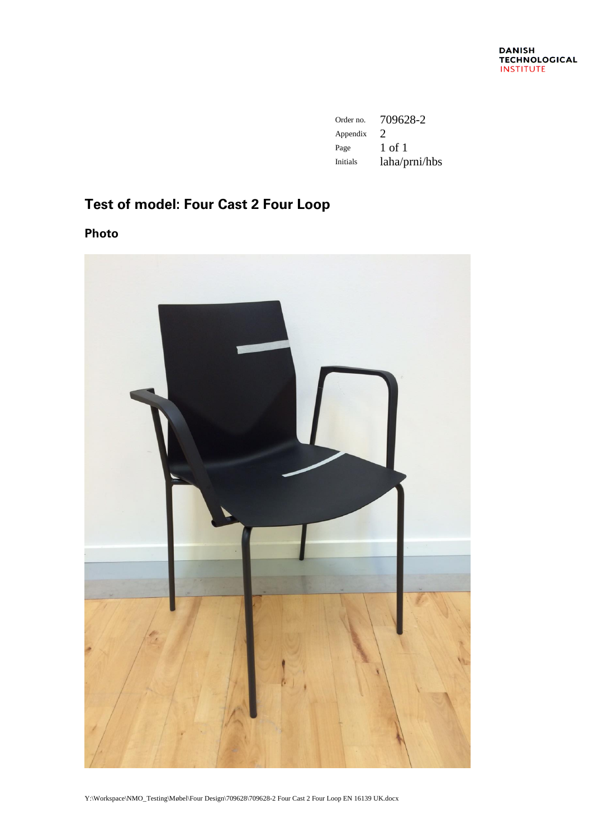| Order no.       | 709628-2                    |
|-----------------|-----------------------------|
| Appendix        | $\mathcal{D}_{\mathcal{L}}$ |
| Page            | 1 of 1                      |
| <b>Initials</b> | laha/prni/hbs               |

# **Test of model: Four Cast 2 Four Loop**

**Photo**



Y:\Workspace\NMO\_Testing\Møbel\Four Design\709628\709628-2 Four Cast 2 Four Loop EN 16139 UK.docx